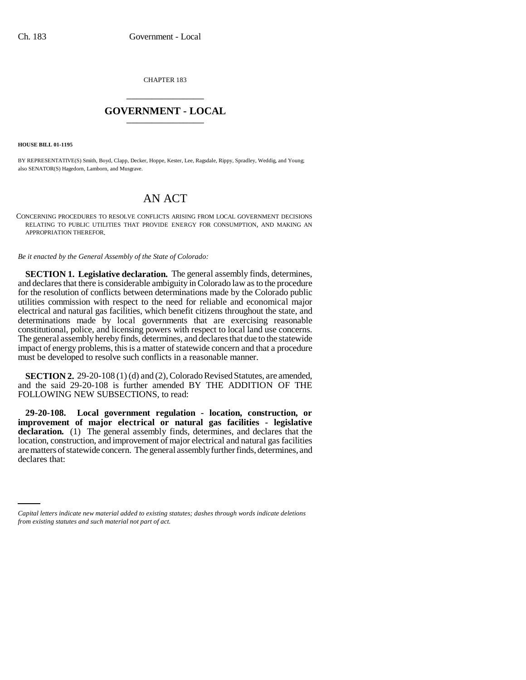CHAPTER 183 \_\_\_\_\_\_\_\_\_\_\_\_\_\_\_

## **GOVERNMENT - LOCAL** \_\_\_\_\_\_\_\_\_\_\_\_\_\_\_

**HOUSE BILL 01-1195**

BY REPRESENTATIVE(S) Smith, Boyd, Clapp, Decker, Hoppe, Kester, Lee, Ragsdale, Rippy, Spradley, Weddig, and Young; also SENATOR(S) Hagedorn, Lamborn, and Musgrave.

## AN ACT

CONCERNING PROCEDURES TO RESOLVE CONFLICTS ARISING FROM LOCAL GOVERNMENT DECISIONS RELATING TO PUBLIC UTILITIES THAT PROVIDE ENERGY FOR CONSUMPTION, AND MAKING AN APPROPRIATION THEREFOR.

*Be it enacted by the General Assembly of the State of Colorado:*

**SECTION 1. Legislative declaration.** The general assembly finds, determines, and declares that there is considerable ambiguity in Colorado law as to the procedure for the resolution of conflicts between determinations made by the Colorado public utilities commission with respect to the need for reliable and economical major electrical and natural gas facilities, which benefit citizens throughout the state, and determinations made by local governments that are exercising reasonable constitutional, police, and licensing powers with respect to local land use concerns. The general assembly hereby finds, determines, and declares that due to the statewide impact of energy problems, this is a matter of statewide concern and that a procedure must be developed to resolve such conflicts in a reasonable manner.

**SECTION 2.** 29-20-108 (1) (d) and (2), Colorado Revised Statutes, are amended, and the said 29-20-108 is further amended BY THE ADDITION OF THE FOLLOWING NEW SUBSECTIONS, to read:

declares that:**29-20-108. Local government regulation - location, construction, or improvement of major electrical or natural gas facilities - legislative** declaration. (1) The general assembly finds, determines, and declares that the location, construction, and improvement of major electrical and natural gas facilities are matters of statewide concern. The general assembly further finds, determines, and

*Capital letters indicate new material added to existing statutes; dashes through words indicate deletions from existing statutes and such material not part of act.*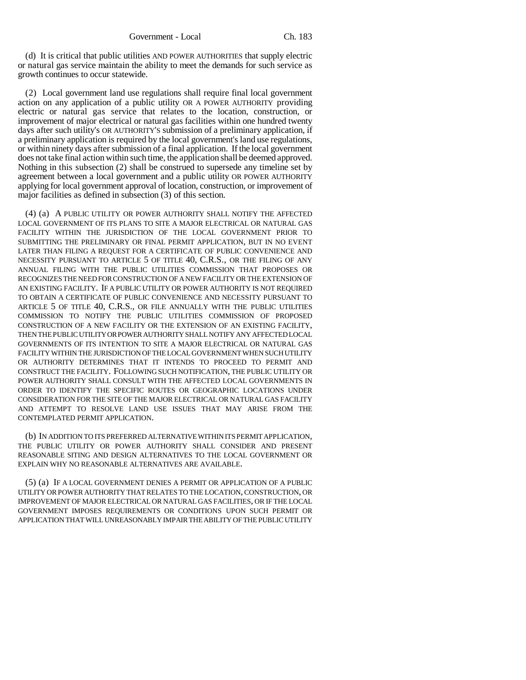(d) It is critical that public utilities AND POWER AUTHORITIES that supply electric or natural gas service maintain the ability to meet the demands for such service as growth continues to occur statewide.

(2) Local government land use regulations shall require final local government action on any application of a public utility OR A POWER AUTHORITY providing electric or natural gas service that relates to the location, construction, or improvement of major electrical or natural gas facilities within one hundred twenty days after such utility's OR AUTHORITY'S submission of a preliminary application, if a preliminary application is required by the local government's land use regulations, or within ninety days after submission of a final application. If the local government does not take final action within such time, the application shall be deemed approved. Nothing in this subsection (2) shall be construed to supersede any timeline set by agreement between a local government and a public utility OR POWER AUTHORITY applying for local government approval of location, construction, or improvement of major facilities as defined in subsection (3) of this section.

(4) (a) A PUBLIC UTILITY OR POWER AUTHORITY SHALL NOTIFY THE AFFECTED LOCAL GOVERNMENT OF ITS PLANS TO SITE A MAJOR ELECTRICAL OR NATURAL GAS FACILITY WITHIN THE JURISDICTION OF THE LOCAL GOVERNMENT PRIOR TO SUBMITTING THE PRELIMINARY OR FINAL PERMIT APPLICATION, BUT IN NO EVENT LATER THAN FILING A REQUEST FOR A CERTIFICATE OF PUBLIC CONVENIENCE AND NECESSITY PURSUANT TO ARTICLE 5 OF TITLE 40, C.R.S., OR THE FILING OF ANY ANNUAL FILING WITH THE PUBLIC UTILITIES COMMISSION THAT PROPOSES OR RECOGNIZES THE NEED FOR CONSTRUCTION OF A NEW FACILITY OR THE EXTENSION OF AN EXISTING FACILITY. IF A PUBLIC UTILITY OR POWER AUTHORITY IS NOT REQUIRED TO OBTAIN A CERTIFICATE OF PUBLIC CONVENIENCE AND NECESSITY PURSUANT TO ARTICLE 5 OF TITLE 40, C.R.S., OR FILE ANNUALLY WITH THE PUBLIC UTILITIES COMMISSION TO NOTIFY THE PUBLIC UTILITIES COMMISSION OF PROPOSED CONSTRUCTION OF A NEW FACILITY OR THE EXTENSION OF AN EXISTING FACILITY, THEN THE PUBLIC UTILITY OR POWER AUTHORITY SHALL NOTIFY ANY AFFECTED LOCAL GOVERNMENTS OF ITS INTENTION TO SITE A MAJOR ELECTRICAL OR NATURAL GAS FACILITY WITHIN THE JURISDICTION OF THE LOCAL GOVERNMENT WHEN SUCH UTILITY OR AUTHORITY DETERMINES THAT IT INTENDS TO PROCEED TO PERMIT AND CONSTRUCT THE FACILITY. FOLLOWING SUCH NOTIFICATION, THE PUBLIC UTILITY OR POWER AUTHORITY SHALL CONSULT WITH THE AFFECTED LOCAL GOVERNMENTS IN ORDER TO IDENTIFY THE SPECIFIC ROUTES OR GEOGRAPHIC LOCATIONS UNDER CONSIDERATION FOR THE SITE OF THE MAJOR ELECTRICAL OR NATURAL GAS FACILITY AND ATTEMPT TO RESOLVE LAND USE ISSUES THAT MAY ARISE FROM THE CONTEMPLATED PERMIT APPLICATION.

(b) IN ADDITION TO ITS PREFERRED ALTERNATIVE WITHIN ITS PERMIT APPLICATION, THE PUBLIC UTILITY OR POWER AUTHORITY SHALL CONSIDER AND PRESENT REASONABLE SITING AND DESIGN ALTERNATIVES TO THE LOCAL GOVERNMENT OR EXPLAIN WHY NO REASONABLE ALTERNATIVES ARE AVAILABLE.

(5) (a) IF A LOCAL GOVERNMENT DENIES A PERMIT OR APPLICATION OF A PUBLIC UTILITY OR POWER AUTHORITY THAT RELATES TO THE LOCATION, CONSTRUCTION, OR IMPROVEMENT OF MAJOR ELECTRICAL OR NATURAL GAS FACILITIES, OR IF THE LOCAL GOVERNMENT IMPOSES REQUIREMENTS OR CONDITIONS UPON SUCH PERMIT OR APPLICATION THAT WILL UNREASONABLY IMPAIR THE ABILITY OF THE PUBLIC UTILITY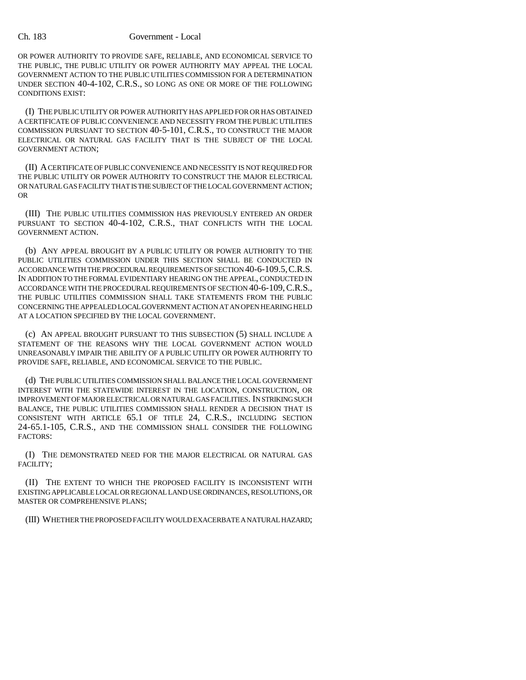## Ch. 183 Government - Local

OR POWER AUTHORITY TO PROVIDE SAFE, RELIABLE, AND ECONOMICAL SERVICE TO THE PUBLIC, THE PUBLIC UTILITY OR POWER AUTHORITY MAY APPEAL THE LOCAL GOVERNMENT ACTION TO THE PUBLIC UTILITIES COMMISSION FOR A DETERMINATION UNDER SECTION 40-4-102, C.R.S., SO LONG AS ONE OR MORE OF THE FOLLOWING CONDITIONS EXIST:

(I) THE PUBLIC UTILITY OR POWER AUTHORITY HAS APPLIED FOR OR HAS OBTAINED A CERTIFICATE OF PUBLIC CONVENIENCE AND NECESSITY FROM THE PUBLIC UTILITIES COMMISSION PURSUANT TO SECTION 40-5-101, C.R.S., TO CONSTRUCT THE MAJOR ELECTRICAL OR NATURAL GAS FACILITY THAT IS THE SUBJECT OF THE LOCAL GOVERNMENT ACTION;

(II) A CERTIFICATE OF PUBLIC CONVENIENCE AND NECESSITY IS NOT REQUIRED FOR THE PUBLIC UTILITY OR POWER AUTHORITY TO CONSTRUCT THE MAJOR ELECTRICAL OR NATURAL GAS FACILITY THAT IS THE SUBJECT OF THE LOCAL GOVERNMENT ACTION; OR

(III) THE PUBLIC UTILITIES COMMISSION HAS PREVIOUSLY ENTERED AN ORDER PURSUANT TO SECTION 40-4-102, C.R.S., THAT CONFLICTS WITH THE LOCAL GOVERNMENT ACTION.

(b) ANY APPEAL BROUGHT BY A PUBLIC UTILITY OR POWER AUTHORITY TO THE PUBLIC UTILITIES COMMISSION UNDER THIS SECTION SHALL BE CONDUCTED IN ACCORDANCE WITH THE PROCEDURAL REQUIREMENTS OF SECTION 40-6-109.5,C.R.S. IN ADDITION TO THE FORMAL EVIDENTIARY HEARING ON THE APPEAL, CONDUCTED IN ACCORDANCE WITH THE PROCEDURAL REQUIREMENTS OF SECTION 40-6-109,C.R.S., THE PUBLIC UTILITIES COMMISSION SHALL TAKE STATEMENTS FROM THE PUBLIC CONCERNING THE APPEALED LOCAL GOVERNMENT ACTION AT AN OPEN HEARING HELD AT A LOCATION SPECIFIED BY THE LOCAL GOVERNMENT.

(c) AN APPEAL BROUGHT PURSUANT TO THIS SUBSECTION (5) SHALL INCLUDE A STATEMENT OF THE REASONS WHY THE LOCAL GOVERNMENT ACTION WOULD UNREASONABLY IMPAIR THE ABILITY OF A PUBLIC UTILITY OR POWER AUTHORITY TO PROVIDE SAFE, RELIABLE, AND ECONOMICAL SERVICE TO THE PUBLIC.

(d) THE PUBLIC UTILITIES COMMISSION SHALL BALANCE THE LOCAL GOVERNMENT INTEREST WITH THE STATEWIDE INTEREST IN THE LOCATION, CONSTRUCTION, OR IMPROVEMENT OF MAJOR ELECTRICAL OR NATURAL GAS FACILITIES. IN STRIKING SUCH BALANCE, THE PUBLIC UTILITIES COMMISSION SHALL RENDER A DECISION THAT IS CONSISTENT WITH ARTICLE 65.1 OF TITLE 24, C.R.S., INCLUDING SECTION 24-65.1-105, C.R.S., AND THE COMMISSION SHALL CONSIDER THE FOLLOWING FACTORS:

(I) THE DEMONSTRATED NEED FOR THE MAJOR ELECTRICAL OR NATURAL GAS FACILITY;

(II) THE EXTENT TO WHICH THE PROPOSED FACILITY IS INCONSISTENT WITH EXISTING APPLICABLE LOCAL OR REGIONAL LAND USE ORDINANCES, RESOLUTIONS, OR MASTER OR COMPREHENSIVE PLANS;

(III) WHETHER THE PROPOSED FACILITY WOULD EXACERBATE A NATURAL HAZARD;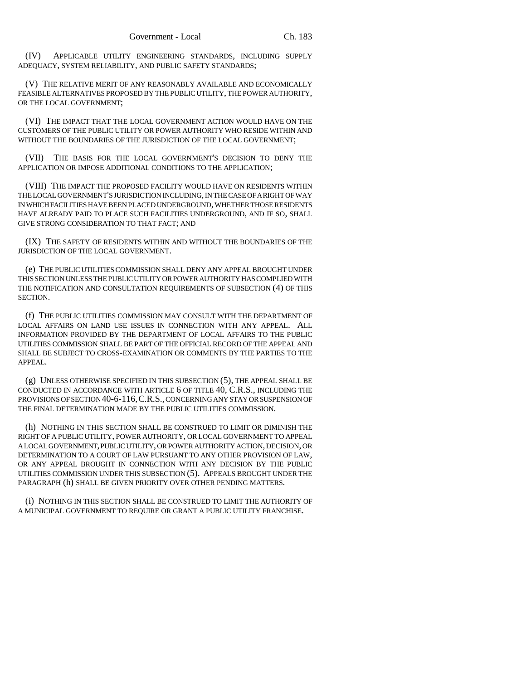(IV) APPLICABLE UTILITY ENGINEERING STANDARDS, INCLUDING SUPPLY ADEQUACY, SYSTEM RELIABILITY, AND PUBLIC SAFETY STANDARDS;

(V) THE RELATIVE MERIT OF ANY REASONABLY AVAILABLE AND ECONOMICALLY FEASIBLE ALTERNATIVES PROPOSED BY THE PUBLIC UTILITY, THE POWER AUTHORITY, OR THE LOCAL GOVERNMENT;

(VI) THE IMPACT THAT THE LOCAL GOVERNMENT ACTION WOULD HAVE ON THE CUSTOMERS OF THE PUBLIC UTILITY OR POWER AUTHORITY WHO RESIDE WITHIN AND WITHOUT THE BOUNDARIES OF THE JURISDICTION OF THE LOCAL GOVERNMENT;

(VII) THE BASIS FOR THE LOCAL GOVERNMENT'S DECISION TO DENY THE APPLICATION OR IMPOSE ADDITIONAL CONDITIONS TO THE APPLICATION;

(VIII) THE IMPACT THE PROPOSED FACILITY WOULD HAVE ON RESIDENTS WITHIN THE LOCAL GOVERNMENT'S JURISDICTION INCLUDING, IN THE CASE OF A RIGHT OF WAY IN WHICH FACILITIES HAVE BEEN PLACED UNDERGROUND, WHETHER THOSE RESIDENTS HAVE ALREADY PAID TO PLACE SUCH FACILITIES UNDERGROUND, AND IF SO, SHALL GIVE STRONG CONSIDERATION TO THAT FACT; AND

(IX) THE SAFETY OF RESIDENTS WITHIN AND WITHOUT THE BOUNDARIES OF THE JURISDICTION OF THE LOCAL GOVERNMENT.

(e) THE PUBLIC UTILITIES COMMISSION SHALL DENY ANY APPEAL BROUGHT UNDER THIS SECTION UNLESS THE PUBLIC UTILITY OR POWER AUTHORITY HAS COMPLIED WITH THE NOTIFICATION AND CONSULTATION REQUIREMENTS OF SUBSECTION (4) OF THIS SECTION.

(f) THE PUBLIC UTILITIES COMMISSION MAY CONSULT WITH THE DEPARTMENT OF LOCAL AFFAIRS ON LAND USE ISSUES IN CONNECTION WITH ANY APPEAL. ALL INFORMATION PROVIDED BY THE DEPARTMENT OF LOCAL AFFAIRS TO THE PUBLIC UTILITIES COMMISSION SHALL BE PART OF THE OFFICIAL RECORD OF THE APPEAL AND SHALL BE SUBJECT TO CROSS-EXAMINATION OR COMMENTS BY THE PARTIES TO THE APPEAL.

(g) UNLESS OTHERWISE SPECIFIED IN THIS SUBSECTION (5), THE APPEAL SHALL BE CONDUCTED IN ACCORDANCE WITH ARTICLE 6 OF TITLE 40, C.R.S., INCLUDING THE PROVISIONS OF SECTION 40-6-116,C.R.S., CONCERNING ANY STAY OR SUSPENSION OF THE FINAL DETERMINATION MADE BY THE PUBLIC UTILITIES COMMISSION.

(h) NOTHING IN THIS SECTION SHALL BE CONSTRUED TO LIMIT OR DIMINISH THE RIGHT OF A PUBLIC UTILITY, POWER AUTHORITY, OR LOCAL GOVERNMENT TO APPEAL A LOCAL GOVERNMENT, PUBLIC UTILITY, OR POWER AUTHORITY ACTION, DECISION, OR DETERMINATION TO A COURT OF LAW PURSUANT TO ANY OTHER PROVISION OF LAW, OR ANY APPEAL BROUGHT IN CONNECTION WITH ANY DECISION BY THE PUBLIC UTILITIES COMMISSION UNDER THIS SUBSECTION (5). APPEALS BROUGHT UNDER THE PARAGRAPH (h) SHALL BE GIVEN PRIORITY OVER OTHER PENDING MATTERS.

(i) NOTHING IN THIS SECTION SHALL BE CONSTRUED TO LIMIT THE AUTHORITY OF A MUNICIPAL GOVERNMENT TO REQUIRE OR GRANT A PUBLIC UTILITY FRANCHISE.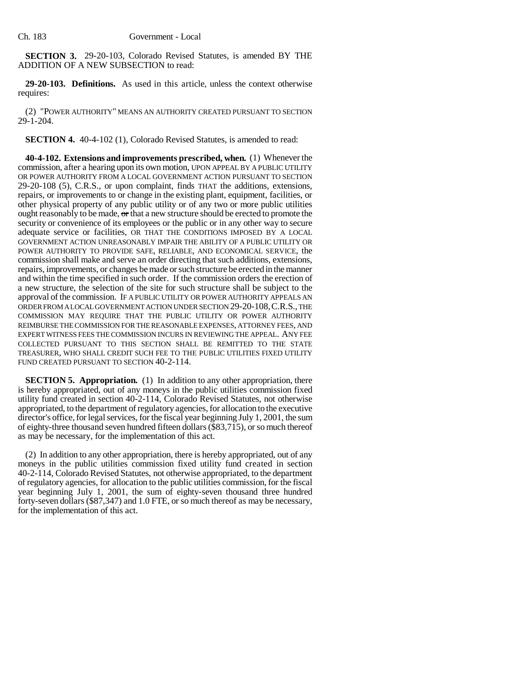**SECTION 3.** 29-20-103, Colorado Revised Statutes, is amended BY THE ADDITION OF A NEW SUBSECTION to read:

**29-20-103. Definitions.** As used in this article, unless the context otherwise requires:

(2) "POWER AUTHORITY" MEANS AN AUTHORITY CREATED PURSUANT TO SECTION 29-1-204.

**SECTION 4.** 40-4-102 (1), Colorado Revised Statutes, is amended to read:

**40-4-102. Extensions and improvements prescribed, when.** (1) Whenever the commission, after a hearing upon its own motion, UPON APPEAL BY A PUBLIC UTILITY OR POWER AUTHORITY FROM A LOCAL GOVERNMENT ACTION PURSUANT TO SECTION 29-20-108 (5), C.R.S., or upon complaint, finds THAT the additions, extensions, repairs, or improvements to or change in the existing plant, equipment, facilities, or other physical property of any public utility or of any two or more public utilities ought reasonably to be made, or that a new structure should be erected to promote the security or convenience of its employees or the public or in any other way to secure adequate service or facilities, OR THAT THE CONDITIONS IMPOSED BY A LOCAL GOVERNMENT ACTION UNREASONABLY IMPAIR THE ABILITY OF A PUBLIC UTILITY OR POWER AUTHORITY TO PROVIDE SAFE, RELIABLE, AND ECONOMICAL SERVICE, the commission shall make and serve an order directing that such additions, extensions, repairs, improvements, or changes be made or such structure be erected in the manner and within the time specified in such order. If the commission orders the erection of a new structure, the selection of the site for such structure shall be subject to the approval of the commission. IF A PUBLIC UTILITY OR POWER AUTHORITY APPEALS AN ORDER FROM A LOCAL GOVERNMENT ACTION UNDER SECTION 29-20-108,C.R.S., THE COMMISSION MAY REQUIRE THAT THE PUBLIC UTILITY OR POWER AUTHORITY REIMBURSE THE COMMISSION FOR THE REASONABLE EXPENSES, ATTORNEY FEES, AND EXPERT WITNESS FEES THE COMMISSION INCURS IN REVIEWING THE APPEAL. ANY FEE COLLECTED PURSUANT TO THIS SECTION SHALL BE REMITTED TO THE STATE TREASURER, WHO SHALL CREDIT SUCH FEE TO THE PUBLIC UTILITIES FIXED UTILITY FUND CREATED PURSUANT TO SECTION 40-2-114.

**SECTION 5. Appropriation.** (1) In addition to any other appropriation, there is hereby appropriated, out of any moneys in the public utilities commission fixed utility fund created in section 40-2-114, Colorado Revised Statutes, not otherwise appropriated, to the department of regulatory agencies, for allocation to the executive director's office, for legal services, for the fiscal year beginning July 1, 2001, the sum of eighty-three thousand seven hundred fifteen dollars (\$83,715), or so much thereof as may be necessary, for the implementation of this act.

(2) In addition to any other appropriation, there is hereby appropriated, out of any moneys in the public utilities commission fixed utility fund created in section 40-2-114, Colorado Revised Statutes, not otherwise appropriated, to the department of regulatory agencies, for allocation to the public utilities commission, for the fiscal year beginning July 1, 2001, the sum of eighty-seven thousand three hundred forty-seven dollars (\$87,347) and 1.0 FTE, or so much thereof as may be necessary, for the implementation of this act.